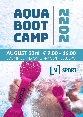# GAMP

### AUGUST 23rd // 9.00 - 16.00 [SVØMMESTADION DANMARK, ESBJERG](https://goo.gl/maps/2DnHe88Mi1ze6c3S6)



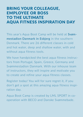### BRING YOUR COLLEAGUE, EMPLOYEE OR BOSS TO THE ULTIMATE AQUA FITNESS INSPIRATION DAY

This year's Aqua Boot Camp will be held at [Svøm](https://goo.gl/maps/2DnHe88Mi1ze6c3S6)[mestadion Danmark in Esbjerg](https://goo.gl/maps/2DnHe88Mi1ze6c3S6) in the southern Denmark. There are 26 different classes in cold and hot water, deep and shallow water, with and without aqua fitness tools.

We have handpicked the best aqua fitness instructors from Portugal, Spain, Greece, Germany and Svømmestadion Danmark. With our inhouse team of instructors, they will inspire and motivate you to create and refine your aqua fitness classes.

[Register today!](https://events.foreningsadministration.dk/events/DSF/dsf-kurser/a2559060-9c3c-4411-bb01-2661e2dc781a) You will for sure regret it, if you don't get a spot at this amazing aqua fitness inspi-



#### Aqua Boot Camp is created by [LML SPORT i](https://lml-sport.dk/da)n cooperation with [BECO](https://www.beco-beermann.com/en/) and [Danske Svømmebade.](https://www.svommebad.dk)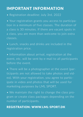### IMPORTANT INFORMATION

[• Registration deadline: July 3rd, 2022](https://events.foreningsadministration.dk/events/DSF/dsf-kurser/a2559060-9c3c-4411-bb01-2661e2dc781a)

• Your registration grants you access to participation in a minimum of five classes. The duration of a class is 30 minutes. If there are vacant spots in a class, you are more than welcome to join extra classes.

• Lunch, snacks and drinks are included in the registration price.

• Information about arrival, registration at the event, etc. will be sent by e-mail to all participants before the event.

• There will be a photographer at the event (participants are not allowed to take photos and video). With your registration, you agree to participate in video and photos that will be used for marketing purposes by [LML SPORT.](https://lml-sport.dk/da)

• We maintain the right to change the class program or create class packages depending on the number of participants.

#### REGISTRATION: [WWW.LML-SPORT.DK](https://events.foreningsadministration.dk/events/DSF/dsf-kurser/a2559060-9c3c-4411-bb01-2661e2dc781a)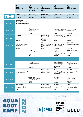|             | <b>SPRING BASIN</b>                                                                        | $\mathbf{2} \cdot$<br><b>HEIGHT ADJUSTA-</b><br><b>BLE BASIN</b>                                 | <b>COMPETITION</b><br><b>BASIN</b>                                                                    | <b>HOT WATER BASIN</b>                                                                           | <b>ACTIVITY BASIN</b>                                                                 |
|-------------|--------------------------------------------------------------------------------------------|--------------------------------------------------------------------------------------------------|-------------------------------------------------------------------------------------------------------|--------------------------------------------------------------------------------------------------|---------------------------------------------------------------------------------------|
| <b>TIME</b> | Depth: 4.00 m<br>Temperature: 26°C 40<br>participants                                      | Depth: 1.25 m<br>Temperature: 26°C 50<br>participants                                            | Depth: 2.00 m<br>Temperature: 26°C 10<br>participants                                                 | Depth: 1.17 m<br>Temperature: 26°C<br>20 participants                                            | Depth: 1.17 m<br>Temperature: 26°C 20<br>participants                                 |
| 09.15-09.45 | Joined warm up<br>Circuit training 3 x 8 minutes<br>/Liselotte, Leila and Deedra           |                                                                                                  |                                                                                                       |                                                                                                  |                                                                                       |
| 10.00-10.30 |                                                                                            | <b>Aqua Focus</b><br>Effective upbeat total<br>body workout<br>/Nuno                             |                                                                                                       | <b>AquaPunkt</b><br><b>Exercises from AquaPun-</b><br>kt and AquaMama<br>/Leila                  | Kick'n'Burn<br>Focus on strength<br>and endurance<br>with AquaTwins<br>/Liselotte     |
| 10.45-11.15 | H20FitRun<br>Refine your aqua running<br>technique<br>/Mariano                             |                                                                                                  | <b>BEboard Relaxed</b><br>Combination of<br>yoga and pilates on<br><b>BEboards</b><br>/Mariana        | <b>Aqua Mat Work</b><br>Focus on postural mobili-<br>ty, stability and flexibility<br>/Nuno      | Step Up<br>Circuit training using<br>step benches<br>/Lonnie                          |
| 11.30-12.00 | Deep water fitness<br>Total body workout using<br>swim gloves and leg<br>floats<br>/Deedra |                                                                                                  | <b>BEboard Hiit</b><br>Effective cardio, balance<br>and core exercise on<br><b>BEboards</b><br>/Leila | <b>MoveBetter</b><br>Functional training to<br>master your body<br>/Mariano                      | <b>Balance &amp; Strength</b><br><b>Training using DynaPads</b><br>/Liselotte         |
| 12.15-12.45 |                                                                                            | <b>BEtomic</b><br>Strength endurance<br>training of the upper<br>body<br>$/$ Ina                 |                                                                                                       | Intro to<br>babyswimming<br>Babysvwimming for ages<br>$0-1$ years<br>/Deedra                     | <b>Aqua Cross Training</b><br>Effective and motivating<br>training<br>/Nuno           |
|             |                                                                                            |                                                                                                  |                                                                                                       |                                                                                                  |                                                                                       |
| 13.00-13.30 |                                                                                            | <b>BEcombat</b><br>Martial arts and boxing<br>combined<br>/Mariano                               |                                                                                                       | <b>AQUAfaszination</b><br>A new approach to<br>aquafitness with new<br><b>BECO</b> tools<br>/Ina | Step Up<br>Circuit training using<br>step benches<br>/Lonnie                          |
| 13.45-14.15 | Deep water fitness<br>Total body workout using<br>balls and swim fins<br>/Deedra           |                                                                                                  | <b>BEboard Active</b><br>Dynamic cardiovascular<br>training on BEboards<br>/Ina                       | Ai Chi<br>Training with a positive<br>effect on fatigue, pain<br>and stiffness<br>/Mariana       | <b>Joint Mobility</b><br>Focus on stimulating<br>joint mobility<br>/Nuno              |
| 14.30-15.00 |                                                                                            | <b>Aqua Combat</b><br>Intense and challenging<br>training inspired by mar-<br>tial arts<br>/Nuno |                                                                                                       | <b>Stretching</b><br>Dynamic and static<br>stretching<br>/Mariano                                | <b>Hiit</b><br>Circuit training with<br>focus on strength and<br>endurance<br>/Deedra |
| 15.15-15.45 | <b>Towel Workout</b><br>Fun and challenging<br>workout using towels                        |                                                                                                  | <b>BEboard Relaxed</b><br>Combination of yoga and<br>pilates on BEboards                              | <b>AquaPilates</b><br>Pilates in the liquid envi-<br>ronment                                     | <b>BEflex</b><br>Endurance training<br>with deep stabilization                        |